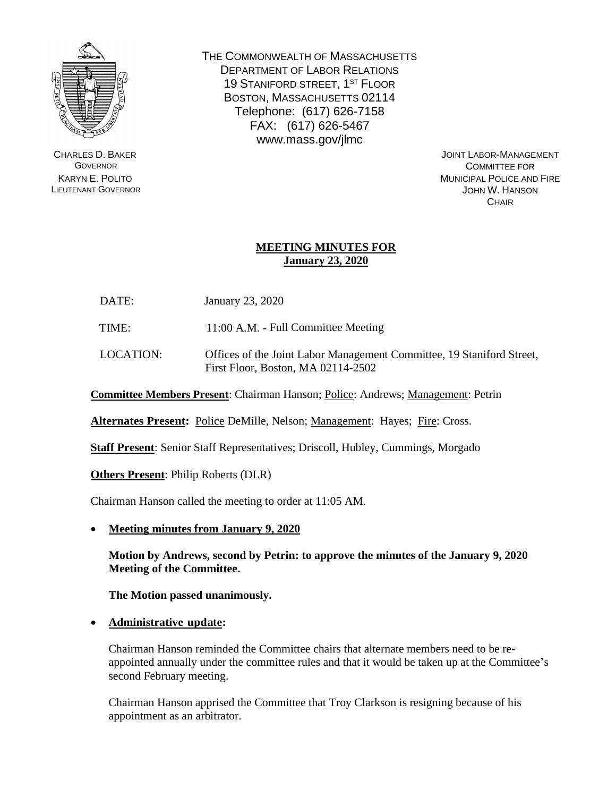

CHARLES D. BAKER **GOVERNOR** KARYN E. POLITO LIEUTENANT GOVERNOR THE COMMONWEALTH OF MASSACHUSETTS DEPARTMENT OF LABOR RELATIONS 19 STANIFORD STREET, 1<sup>ST</sup> FLOOR BOSTON, MASSACHUSETTS 02114 Telephone: (617) 626-7158 FAX: (617) 626-5467 www.mass.gov/jlmc

> JOINT LABOR-MANAGEMENT COMMITTEE FOR MUNICIPAL POLICE AND FIRE JOHN W. HANSON **CHAIR**

### **MEETING MINUTES FOR January 23, 2020**

DATE: January 23, 2020

TIME: 11:00 A.M. - Full Committee Meeting

LOCATION: Offices of the Joint Labor Management Committee, 19 Staniford Street, First Floor, Boston, MA 02114-2502

**Committee Members Present**: Chairman Hanson; Police: Andrews; Management: Petrin

**Alternates Present:** Police DeMille, Nelson; Management: Hayes; Fire: Cross.

**Staff Present**: Senior Staff Representatives; Driscoll, Hubley, Cummings, Morgado

**Others Present**: Philip Roberts (DLR)

Chairman Hanson called the meeting to order at 11:05 AM.

• **Meeting minutes from January 9, 2020**

**Motion by Andrews, second by Petrin: to approve the minutes of the January 9, 2020 Meeting of the Committee.**

**The Motion passed unanimously.**

• **Administrative update:**

Chairman Hanson reminded the Committee chairs that alternate members need to be reappointed annually under the committee rules and that it would be taken up at the Committee's second February meeting.

Chairman Hanson apprised the Committee that Troy Clarkson is resigning because of his appointment as an arbitrator.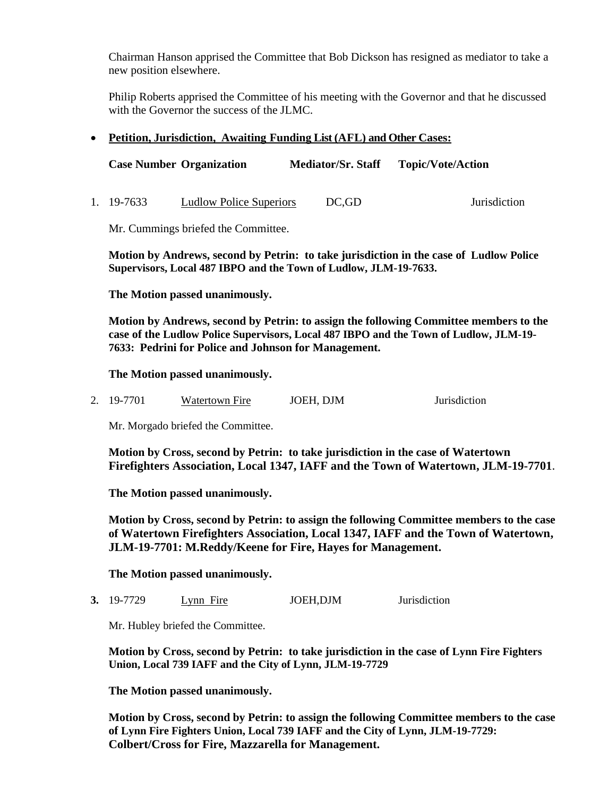Chairman Hanson apprised the Committee that Bob Dickson has resigned as mediator to take a new position elsewhere.

Philip Roberts apprised the Committee of his meeting with the Governor and that he discussed with the Governor the success of the JLMC.

#### • **Petition, Jurisdiction, Awaiting Funding List (AFL) and Other Cases:**

|            | <b>Case Number Organization</b> | <b>Mediator/Sr. Staff</b> | <b>Topic/Vote/Action</b> |
|------------|---------------------------------|---------------------------|--------------------------|
| 1. 19-7633 | <b>Ludlow Police Superiors</b>  | DC.GD                     | Jurisdiction             |

Mr. Cummings briefed the Committee.

**Motion by Andrews, second by Petrin: to take jurisdiction in the case of Ludlow Police Supervisors, Local 487 IBPO and the Town of Ludlow, JLM-19-7633.**

**The Motion passed unanimously.**

**Motion by Andrews, second by Petrin: to assign the following Committee members to the case of the Ludlow Police Supervisors, Local 487 IBPO and the Town of Ludlow, JLM-19- 7633: Pedrini for Police and Johnson for Management.**

#### **The Motion passed unanimously.**

2. 19-7701 Watertown Fire JOEH, DJM Jurisdiction

Mr. Morgado briefed the Committee.

**Motion by Cross, second by Petrin: to take jurisdiction in the case of Watertown Firefighters Association, Local 1347, IAFF and the Town of Watertown, JLM-19-7701**.

**The Motion passed unanimously.**

**Motion by Cross, second by Petrin: to assign the following Committee members to the case of Watertown Firefighters Association, Local 1347, IAFF and the Town of Watertown, JLM-19-7701: M.Reddy/Keene for Fire, Hayes for Management.**

#### **The Motion passed unanimously.**

**3.** 19-7729 Lynn Fire JOEH,DJM Jurisdiction

Mr. Hubley briefed the Committee.

**Motion by Cross, second by Petrin: to take jurisdiction in the case of Lynn Fire Fighters Union, Local 739 IAFF and the City of Lynn, JLM-19-7729**

**The Motion passed unanimously.**

**Motion by Cross, second by Petrin: to assign the following Committee members to the case of Lynn Fire Fighters Union, Local 739 IAFF and the City of Lynn, JLM-19-7729: Colbert/Cross for Fire, Mazzarella for Management.**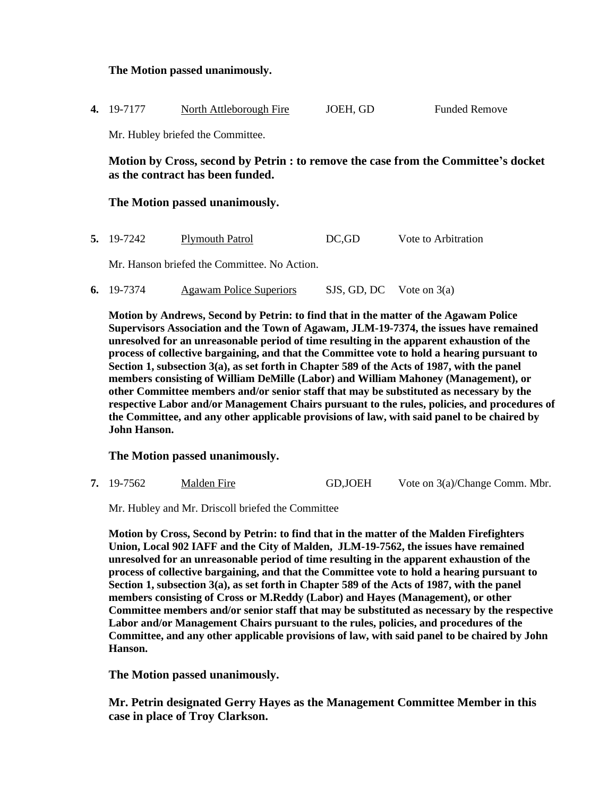### **The Motion passed unanimously.**

| <b>4.</b> 19-7177 | North Attleborough Fire | JOEH, GD | <b>Funded Remove</b> |
|-------------------|-------------------------|----------|----------------------|
|                   |                         |          |                      |

Mr. Hubley briefed the Committee.

**Motion by Cross, second by Petrin : to remove the case from the Committee's docket as the contract has been funded.**

#### **The Motion passed unanimously.**

|  | <b>5.</b> 19-7242 | <b>Plymouth Patrol</b> | DC,GD | Vote to Arbitration |
|--|-------------------|------------------------|-------|---------------------|
|--|-------------------|------------------------|-------|---------------------|

Mr. Hanson briefed the Committee. No Action.

**6.** 19-7374 Agawam Police Superiors SJS, GD, DC Vote on 3(a)

**Motion by Andrews, Second by Petrin: to find that in the matter of the Agawam Police Supervisors Association and the Town of Agawam, JLM-19-7374, the issues have remained unresolved for an unreasonable period of time resulting in the apparent exhaustion of the process of collective bargaining, and that the Committee vote to hold a hearing pursuant to Section 1, subsection 3(a), as set forth in Chapter 589 of the Acts of 1987, with the panel members consisting of William DeMille (Labor) and William Mahoney (Management), or other Committee members and/or senior staff that may be substituted as necessary by the respective Labor and/or Management Chairs pursuant to the rules, policies, and procedures of the Committee, and any other applicable provisions of law, with said panel to be chaired by John Hanson.**

#### **The Motion passed unanimously.**

**7.** 19-7562 Malden Fire GD,JOEH Vote on 3(a)/Change Comm. Mbr.

Mr. Hubley and Mr. Driscoll briefed the Committee

**Motion by Cross, Second by Petrin: to find that in the matter of the Malden Firefighters Union, Local 902 IAFF and the City of Malden, JLM-19-7562, the issues have remained unresolved for an unreasonable period of time resulting in the apparent exhaustion of the process of collective bargaining, and that the Committee vote to hold a hearing pursuant to Section 1, subsection 3(a), as set forth in Chapter 589 of the Acts of 1987, with the panel members consisting of Cross or M.Reddy (Labor) and Hayes (Management), or other Committee members and/or senior staff that may be substituted as necessary by the respective Labor and/or Management Chairs pursuant to the rules, policies, and procedures of the Committee, and any other applicable provisions of law, with said panel to be chaired by John Hanson.**

**The Motion passed unanimously.**

**Mr. Petrin designated Gerry Hayes as the Management Committee Member in this case in place of Troy Clarkson.**